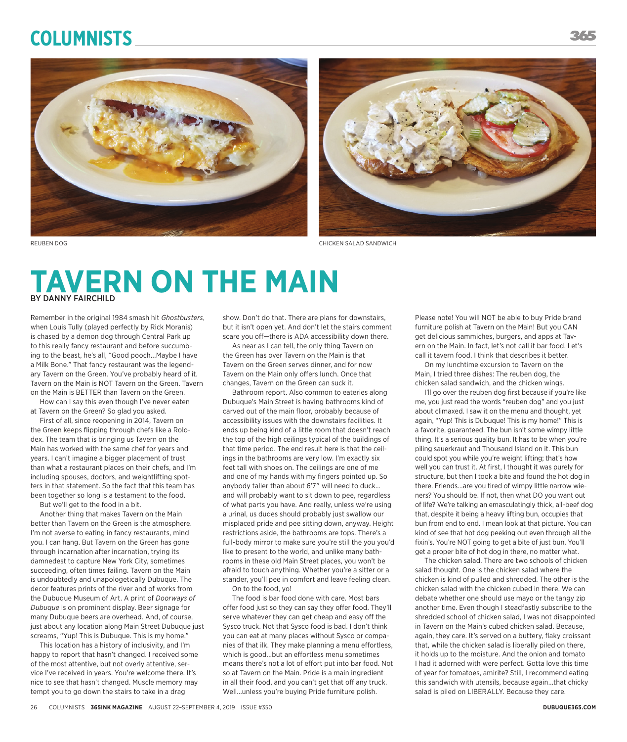## **Columnists**



## **TAVERN ON THE MAIN BY DANNY FAIRCHILD**

Remember in the original 1984 smash hit *Ghostbusters*, when Louis Tully (played perfectly by Rick Moranis) is chased by a demon dog through Central Park up to this really fancy restaurant and before succumbing to the beast, he's all, "Good pooch...Maybe I have a Milk Bone." That fancy restaurant was the legendary Tavern on the Green. You've probably heard of it. Tavern on the Main is NOT Tavern on the Green. Tavern on the Main is BETTER than Tavern on the Green.

How can I say this even though I've never eaten at Tavern on the Green? So glad you asked.

First of all, since reopening in 2014, Tavern on the Green keeps flipping through chefs like a Rolodex. The team that is bringing us Tavern on the Main has worked with the same chef for years and years. I can't imagine a bigger placement of trust than what a restaurant places on their chefs, and I'm including spouses, doctors, and weightlifting spotters in that statement. So the fact that this team has been together so long is a testament to the food.

But we'll get to the food in a bit.

Another thing that makes Tavern on the Main better than Tavern on the Green is the atmosphere. I'm not averse to eating in fancy restaurants, mind you. I can hang. But Tavern on the Green has gone through incarnation after incarnation, trying its damnedest to capture New York City, sometimes succeeding, often times failing. Tavern on the Main is undoubtedly and unapologetically Dubuque. The decor features prints of the river and of works from the Dubuque Museum of Art. A print of *Doorways of Dubuque* is on prominent display. Beer signage for many Dubuque beers are overhead. And, of course, just about any location along Main Street Dubuque just screams, "Yup! This is Dubuque. This is my home."

This location has a history of inclusivity, and I'm happy to report that hasn't changed. I received some of the most attentive, but not overly attentive, service I've received in years. You're welcome there. It's nice to see that hasn't changed. Muscle memory may tempt you to go down the stairs to take in a drag

show. Don't do that. There are plans for downstairs, but it isn't open yet. And don't let the stairs comment scare you off—there is ADA accessibility down there.

As near as I can tell, the only thing Tavern on the Green has over Tavern on the Main is that Tavern on the Green serves dinner, and for now Tavern on the Main only offers lunch. Once that changes, Tavern on the Green can suck it.

Bathroom report. Also common to eateries along Dubuque's Main Street is having bathrooms kind of carved out of the main floor, probably because of accessibility issues with the downstairs facilities. It ends up being kind of a little room that doesn't reach the top of the high ceilings typical of the buildings of that time period. The end result here is that the ceilings in the bathrooms are very low. I'm exactly six feet tall with shoes on. The ceilings are one of me and one of my hands with my fingers pointed up. So anybody taller than about 6'7" will need to duck… and will probably want to sit down to pee, regardless of what parts you have. And really, unless we're using a urinal, us dudes should probably just swallow our misplaced pride and pee sitting down, anyway. Height restrictions aside, the bathrooms are tops. There's a full-body mirror to make sure you're still the you you'd like to present to the world, and unlike many bathrooms in these old Main Street places, you won't be afraid to touch anything. Whether you're a sitter or a stander, you'll pee in comfort and leave feeling clean. On to the food, yo!

The food is bar food done with care. Most bars offer food just so they can say they offer food. They'll serve whatever they can get cheap and easy off the Sysco truck. Not that Sysco food is bad. I don't think you can eat at many places without Sysco or companies of that ilk. They make planning a menu effortless, which is good...but an effortless menu sometimes means there's not a lot of effort put into bar food. Not so at Tavern on the Main. Pride is a main ingredient in all their food, and you can't get that off any truck. Well...unless you're buying Pride furniture polish.

Please note! You will NOT be able to buy Pride brand furniture polish at Tavern on the Main! But you CAN get delicious sammiches, burgers, and apps at Tavern on the Main. In fact, let's not call it bar food. Let's call it tavern food. I think that describes it better.

On my lunchtime excursion to Tavern on the Main, I tried three dishes: The reuben dog, the chicken salad sandwich, and the chicken wings.

I'll go over the reuben dog first because if you're like me, you just read the words "reuben dog" and you just about climaxed. I saw it on the menu and thought, yet again, "Yup! This is Dubuque! This is my home!" This is a favorite, guaranteed. The bun isn't some wimpy little thing. It's a serious quality bun. It has to be when you're piling sauerkraut and Thousand Island on it. This bun could spot you while you're weight lifting; that's how well you can trust it. At first, I thought it was purely for structure, but then I took a bite and found the hot dog in there. Friends...are you tired of wimpy little narrow wieners? You should be. If not, then what DO you want out of life? We're talking an emasculatingly thick, all-beef dog that, despite it being a heavy lifting bun, occupies that bun from end to end. I mean look at that picture. You can kind of see that hot dog peeking out even through all the fixin's. You're NOT going to get a bite of just bun. You'll get a proper bite of hot dog in there, no matter what.

The chicken salad. There are two schools of chicken salad thought. One is the chicken salad where the chicken is kind of pulled and shredded. The other is the chicken salad with the chicken cubed in there. We can debate whether one should use mayo or the tangy zip another time. Even though I steadfastly subscribe to the shredded school of chicken salad, I was not disappointed in Tavern on the Main's cubed chicken salad. Because, again, they care. It's served on a buttery, flaky croissant that, while the chicken salad is liberally piled on there, it holds up to the moisture. And the onion and tomato I had it adorned with were perfect. Gotta love this time of year for tomatoes, amirite? Still, I recommend eating this sandwich with utensils, because again...that chicky salad is piled on LIBERALLY. Because they care.